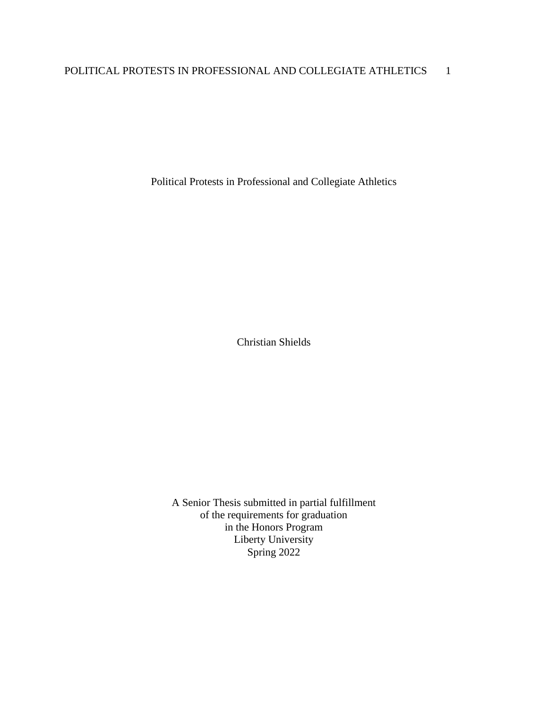Political Protests in Professional and Collegiate Athletics

Christian Shields

A Senior Thesis submitted in partial fulfillment of the requirements for graduation in the Honors Program Liberty University Spring 2022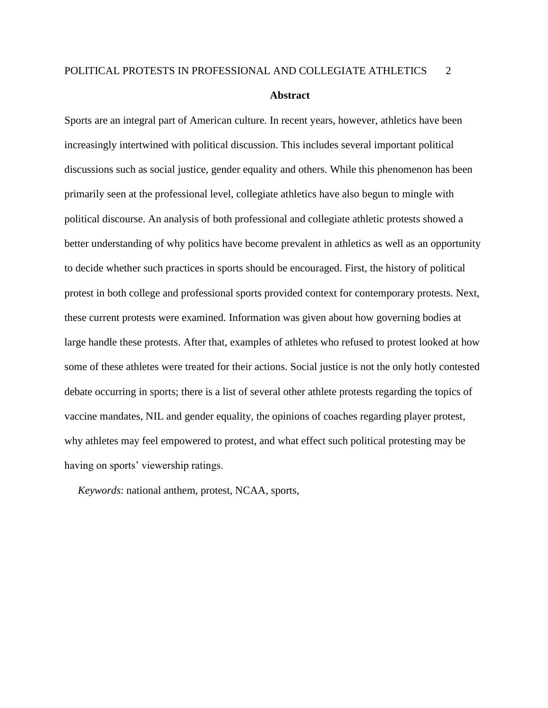Sports are an integral part of American culture. In recent years, however, athletics have been increasingly intertwined with political discussion. This includes several important political discussions such as social justice, gender equality and others. While this phenomenon has been primarily seen at the professional level, collegiate athletics have also begun to mingle with political discourse. An analysis of both professional and collegiate athletic protests showed a better understanding of why politics have become prevalent in athletics as well as an opportunity to decide whether such practices in sports should be encouraged. First, the history of political protest in both college and professional sports provided context for contemporary protests. Next, these current protests were examined. Information was given about how governing bodies at large handle these protests. After that, examples of athletes who refused to protest looked at how some of these athletes were treated for their actions. Social justice is not the only hotly contested debate occurring in sports; there is a list of several other athlete protests regarding the topics of vaccine mandates, NIL and gender equality, the opinions of coaches regarding player protest, why athletes may feel empowered to protest, and what effect such political protesting may be having on sports' viewership ratings.

 *Keywords*: national anthem, protest, NCAA, sports,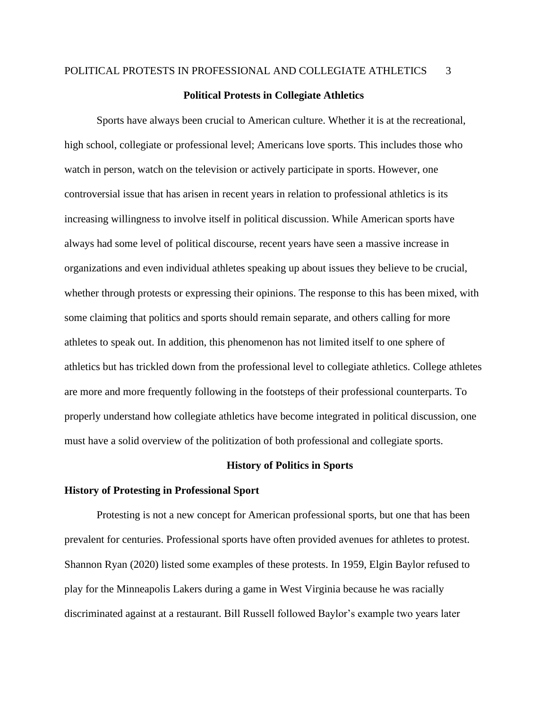#### **Political Protests in Collegiate Athletics**

Sports have always been crucial to American culture. Whether it is at the recreational, high school, collegiate or professional level; Americans love sports. This includes those who watch in person, watch on the television or actively participate in sports. However, one controversial issue that has arisen in recent years in relation to professional athletics is its increasing willingness to involve itself in political discussion. While American sports have always had some level of political discourse, recent years have seen a massive increase in organizations and even individual athletes speaking up about issues they believe to be crucial, whether through protests or expressing their opinions. The response to this has been mixed, with some claiming that politics and sports should remain separate, and others calling for more athletes to speak out. In addition, this phenomenon has not limited itself to one sphere of athletics but has trickled down from the professional level to collegiate athletics. College athletes are more and more frequently following in the footsteps of their professional counterparts. To properly understand how collegiate athletics have become integrated in political discussion, one must have a solid overview of the politization of both professional and collegiate sports.

#### **History of Politics in Sports**

#### **History of Protesting in Professional Sport**

Protesting is not a new concept for American professional sports, but one that has been prevalent for centuries. Professional sports have often provided avenues for athletes to protest. Shannon Ryan (2020) listed some examples of these protests. In 1959, Elgin Baylor refused to play for the Minneapolis Lakers during a game in West Virginia because he was racially discriminated against at a restaurant. Bill Russell followed Baylor's example two years later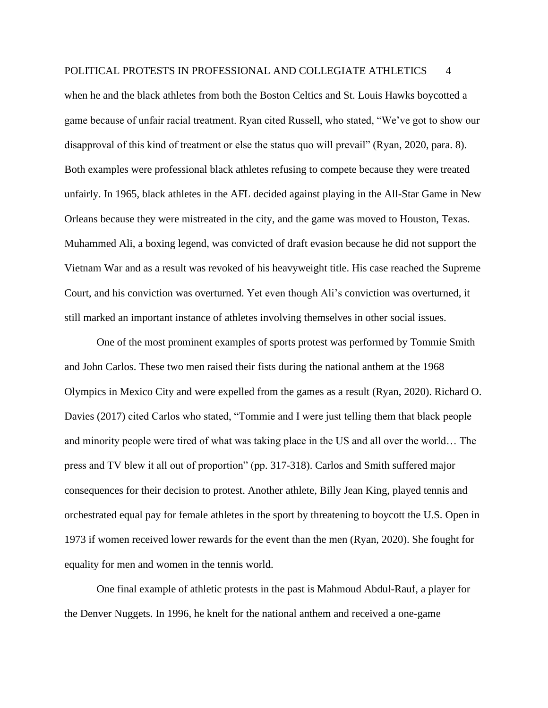when he and the black athletes from both the Boston Celtics and St. Louis Hawks boycotted a game because of unfair racial treatment. Ryan cited Russell, who stated, "We've got to show our disapproval of this kind of treatment or else the status quo will prevail" (Ryan, 2020, para. 8). Both examples were professional black athletes refusing to compete because they were treated unfairly. In 1965, black athletes in the AFL decided against playing in the All-Star Game in New Orleans because they were mistreated in the city, and the game was moved to Houston, Texas. Muhammed Ali, a boxing legend, was convicted of draft evasion because he did not support the Vietnam War and as a result was revoked of his heavyweight title. His case reached the Supreme Court, and his conviction was overturned. Yet even though Ali's conviction was overturned, it still marked an important instance of athletes involving themselves in other social issues.

One of the most prominent examples of sports protest was performed by Tommie Smith and John Carlos. These two men raised their fists during the national anthem at the 1968 Olympics in Mexico City and were expelled from the games as a result (Ryan, 2020). Richard O. Davies (2017) cited Carlos who stated, "Tommie and I were just telling them that black people and minority people were tired of what was taking place in the US and all over the world… The press and TV blew it all out of proportion" (pp. 317-318). Carlos and Smith suffered major consequences for their decision to protest. Another athlete, Billy Jean King, played tennis and orchestrated equal pay for female athletes in the sport by threatening to boycott the U.S. Open in 1973 if women received lower rewards for the event than the men (Ryan, 2020). She fought for equality for men and women in the tennis world.

One final example of athletic protests in the past is Mahmoud Abdul-Rauf, a player for the Denver Nuggets. In 1996, he knelt for the national anthem and received a one-game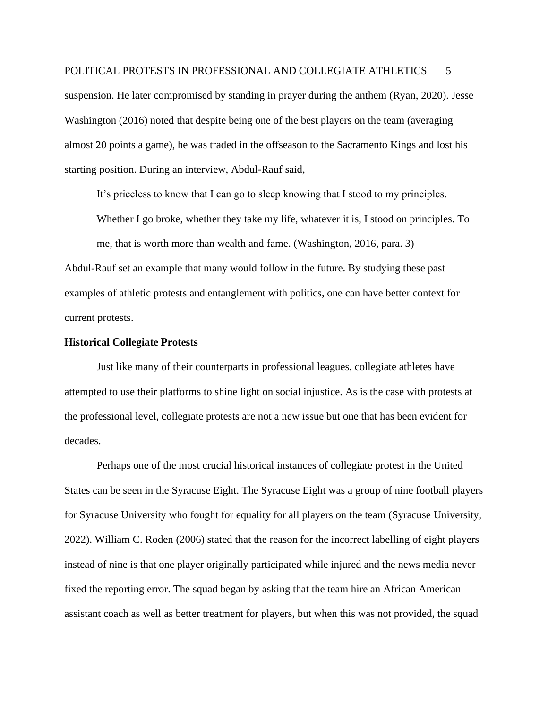suspension. He later compromised by standing in prayer during the anthem (Ryan, 2020). Jesse Washington (2016) noted that despite being one of the best players on the team (averaging almost 20 points a game), he was traded in the offseason to the Sacramento Kings and lost his starting position. During an interview, Abdul-Rauf said,

It's priceless to know that I can go to sleep knowing that I stood to my principles.

Whether I go broke, whether they take my life, whatever it is, I stood on principles. To

me, that is worth more than wealth and fame. (Washington, 2016, para. 3) Abdul-Rauf set an example that many would follow in the future. By studying these past examples of athletic protests and entanglement with politics, one can have better context for current protests.

#### **Historical Collegiate Protests**

Just like many of their counterparts in professional leagues, collegiate athletes have attempted to use their platforms to shine light on social injustice. As is the case with protests at the professional level, collegiate protests are not a new issue but one that has been evident for decades.

Perhaps one of the most crucial historical instances of collegiate protest in the United States can be seen in the Syracuse Eight. The Syracuse Eight was a group of nine football players for Syracuse University who fought for equality for all players on the team (Syracuse University, 2022). William C. Roden (2006) stated that the reason for the incorrect labelling of eight players instead of nine is that one player originally participated while injured and the news media never fixed the reporting error. The squad began by asking that the team hire an African American assistant coach as well as better treatment for players, but when this was not provided, the squad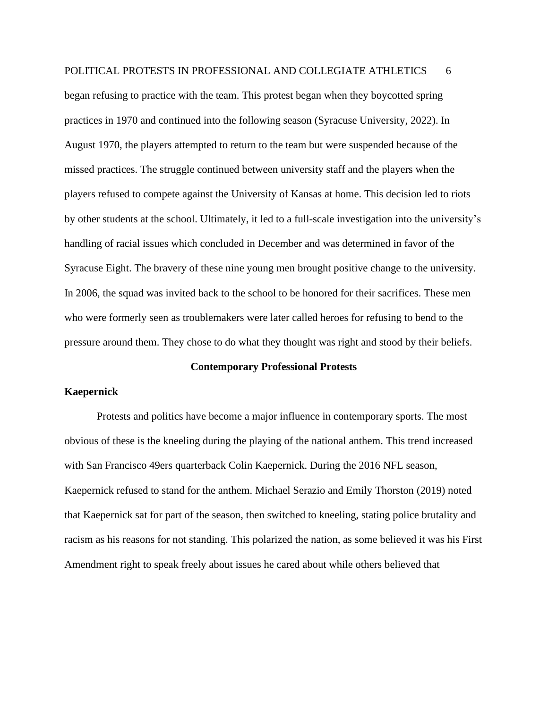began refusing to practice with the team. This protest began when they boycotted spring practices in 1970 and continued into the following season (Syracuse University, 2022). In August 1970, the players attempted to return to the team but were suspended because of the missed practices. The struggle continued between university staff and the players when the players refused to compete against the University of Kansas at home. This decision led to riots by other students at the school. Ultimately, it led to a full-scale investigation into the university's handling of racial issues which concluded in December and was determined in favor of the Syracuse Eight. The bravery of these nine young men brought positive change to the university. In 2006, the squad was invited back to the school to be honored for their sacrifices. These men who were formerly seen as troublemakers were later called heroes for refusing to bend to the pressure around them. They chose to do what they thought was right and stood by their beliefs.

#### **Contemporary Professional Protests**

#### **Kaepernick**

Protests and politics have become a major influence in contemporary sports. The most obvious of these is the kneeling during the playing of the national anthem. This trend increased with San Francisco 49ers quarterback Colin Kaepernick. During the 2016 NFL season, Kaepernick refused to stand for the anthem. Michael Serazio and Emily Thorston (2019) noted that Kaepernick sat for part of the season, then switched to kneeling, stating police brutality and racism as his reasons for not standing. This polarized the nation, as some believed it was his First Amendment right to speak freely about issues he cared about while others believed that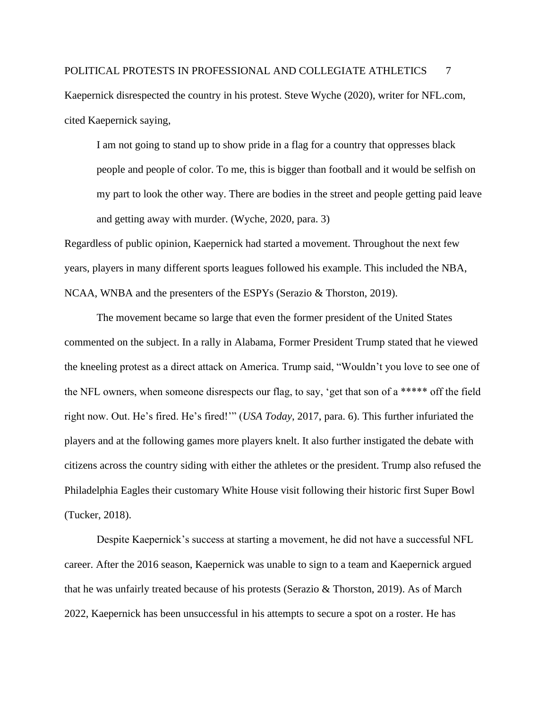# POLITICAL PROTESTS IN PROFESSIONAL AND COLLEGIATE ATHLETICS 7 Kaepernick disrespected the country in his protest. Steve Wyche (2020), writer for NFL.com, cited Kaepernick saying,

I am not going to stand up to show pride in a flag for a country that oppresses black people and people of color. To me, this is bigger than football and it would be selfish on my part to look the other way. There are bodies in the street and people getting paid leave and getting away with murder. (Wyche, 2020, para. 3)

Regardless of public opinion, Kaepernick had started a movement. Throughout the next few years, players in many different sports leagues followed his example. This included the NBA, NCAA, WNBA and the presenters of the ESPYs (Serazio & Thorston, 2019).

The movement became so large that even the former president of the United States commented on the subject. In a rally in Alabama, Former President Trump stated that he viewed the kneeling protest as a direct attack on America. Trump said, "Wouldn't you love to see one of the NFL owners, when someone disrespects our flag, to say, 'get that son of a \*\*\*\*\* off the field right now. Out. He's fired. He's fired!'" (*USA Today*, 2017, para. 6). This further infuriated the players and at the following games more players knelt. It also further instigated the debate with citizens across the country siding with either the athletes or the president. Trump also refused the Philadelphia Eagles their customary White House visit following their historic first Super Bowl (Tucker, 2018).

Despite Kaepernick's success at starting a movement, he did not have a successful NFL career. After the 2016 season, Kaepernick was unable to sign to a team and Kaepernick argued that he was unfairly treated because of his protests (Serazio & Thorston, 2019). As of March 2022, Kaepernick has been unsuccessful in his attempts to secure a spot on a roster. He has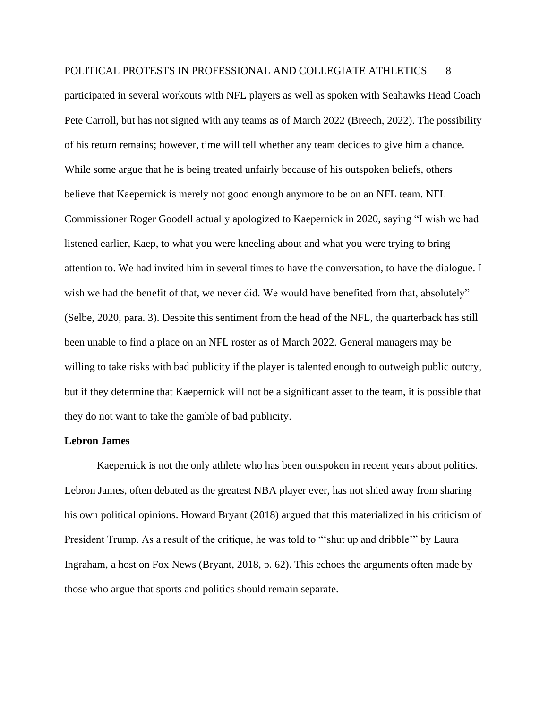participated in several workouts with NFL players as well as spoken with Seahawks Head Coach Pete Carroll, but has not signed with any teams as of March 2022 (Breech, 2022). The possibility of his return remains; however, time will tell whether any team decides to give him a chance. While some argue that he is being treated unfairly because of his outspoken beliefs, others believe that Kaepernick is merely not good enough anymore to be on an NFL team. NFL Commissioner Roger Goodell actually apologized to Kaepernick in 2020, saying "I wish we had listened earlier, Kaep, to what you were kneeling about and what you were trying to bring attention to. We had invited him in several times to have the conversation, to have the dialogue. I wish we had the benefit of that, we never did. We would have benefited from that, absolutely" (Selbe, 2020, para. 3). Despite this sentiment from the head of the NFL, the quarterback has still been unable to find a place on an NFL roster as of March 2022. General managers may be willing to take risks with bad publicity if the player is talented enough to outweigh public outcry, but if they determine that Kaepernick will not be a significant asset to the team, it is possible that they do not want to take the gamble of bad publicity.

#### **Lebron James**

Kaepernick is not the only athlete who has been outspoken in recent years about politics. Lebron James, often debated as the greatest NBA player ever, has not shied away from sharing his own political opinions. Howard Bryant (2018) argued that this materialized in his criticism of President Trump. As a result of the critique, he was told to "'shut up and dribble'" by Laura Ingraham, a host on Fox News (Bryant, 2018, p. 62). This echoes the arguments often made by those who argue that sports and politics should remain separate.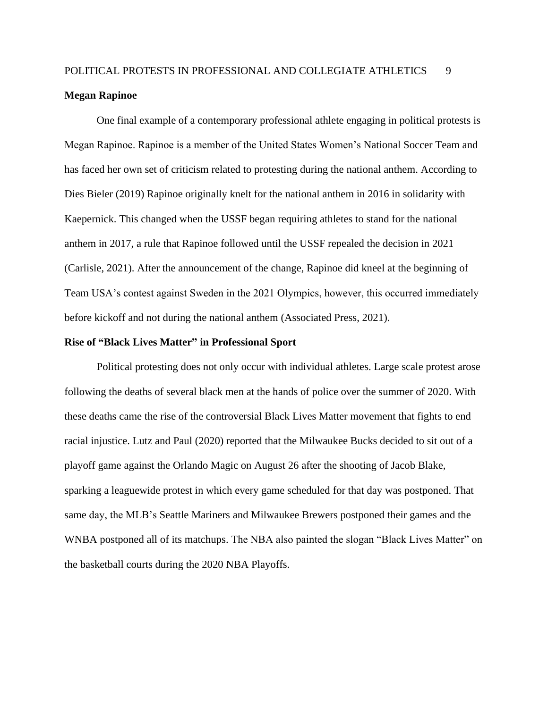### POLITICAL PROTESTS IN PROFESSIONAL AND COLLEGIATE ATHLETICS 9 **Megan Rapinoe**

One final example of a contemporary professional athlete engaging in political protests is Megan Rapinoe. Rapinoe is a member of the United States Women's National Soccer Team and has faced her own set of criticism related to protesting during the national anthem. According to Dies Bieler (2019) Rapinoe originally knelt for the national anthem in 2016 in solidarity with Kaepernick. This changed when the USSF began requiring athletes to stand for the national anthem in 2017, a rule that Rapinoe followed until the USSF repealed the decision in 2021 (Carlisle, 2021). After the announcement of the change, Rapinoe did kneel at the beginning of Team USA's contest against Sweden in the 2021 Olympics, however, this occurred immediately before kickoff and not during the national anthem (Associated Press, 2021).

#### **Rise of "Black Lives Matter" in Professional Sport**

Political protesting does not only occur with individual athletes. Large scale protest arose following the deaths of several black men at the hands of police over the summer of 2020. With these deaths came the rise of the controversial Black Lives Matter movement that fights to end racial injustice. Lutz and Paul (2020) reported that the Milwaukee Bucks decided to sit out of a playoff game against the Orlando Magic on August 26 after the shooting of Jacob Blake, sparking a leaguewide protest in which every game scheduled for that day was postponed. That same day, the MLB's Seattle Mariners and Milwaukee Brewers postponed their games and the WNBA postponed all of its matchups. The NBA also painted the slogan "Black Lives Matter" on the basketball courts during the 2020 NBA Playoffs.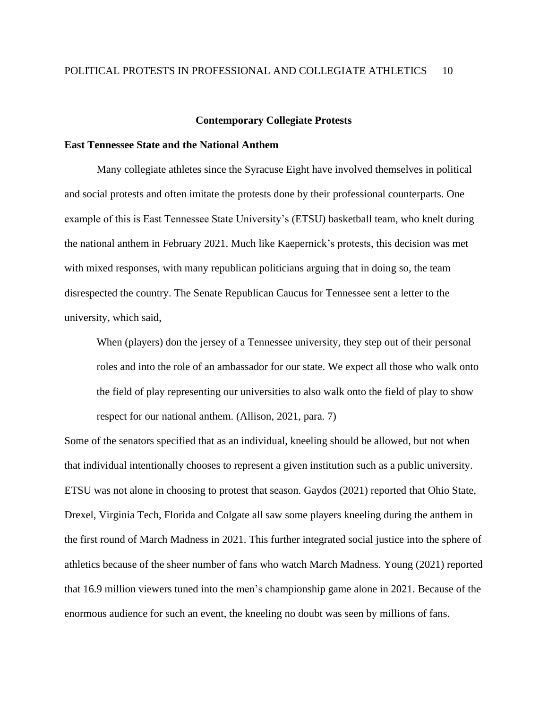#### **Contemporary Collegiate Protests**

#### **East Tennessee State and the National Anthem**

Many collegiate athletes since the Syracuse Eight have involved themselves in political and social protests and often imitate the protests done by their professional counterparts. One example of this is East Tennessee State University's (ETSU) basketball team, who knelt during the national anthem in February 2021. Much like Kaepernick's protests, this decision was met with mixed responses, with many republican politicians arguing that in doing so, the team disrespected the country. The Senate Republican Caucus for Tennessee sent a letter to the university, which said,

When (players) don the jersey of a Tennessee university, they step out of their personal roles and into the role of an ambassador for our state. We expect all those who walk onto the field of play representing our universities to also walk onto the field of play to show respect for our national anthem. (Allison, 2021, para. 7)

Some of the senators specified that as an individual, kneeling should be allowed, but not when that individual intentionally chooses to represent a given institution such as a public university. ETSU was not alone in choosing to protest that season. Gaydos (2021) reported that Ohio State, Drexel, Virginia Tech, Florida and Colgate all saw some players kneeling during the anthem in the first round of March Madness in 2021. This further integrated social justice into the sphere of athletics because of the sheer number of fans who watch March Madness. Young (2021) reported that 16.9 million viewers tuned into the men's championship game alone in 2021. Because of the enormous audience for such an event, the kneeling no doubt was seen by millions of fans.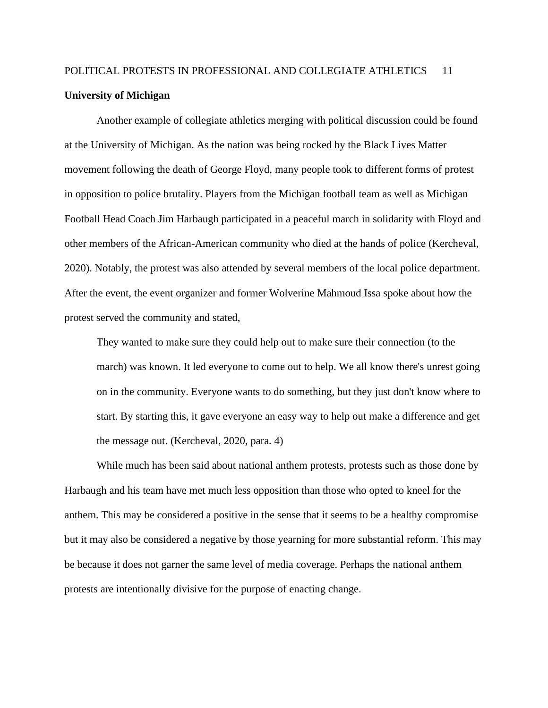### POLITICAL PROTESTS IN PROFESSIONAL AND COLLEGIATE ATHLETICS 11 **University of Michigan**

Another example of collegiate athletics merging with political discussion could be found at the University of Michigan. As the nation was being rocked by the Black Lives Matter movement following the death of George Floyd, many people took to different forms of protest in opposition to police brutality. Players from the Michigan football team as well as Michigan Football Head Coach Jim Harbaugh participated in a peaceful march in solidarity with Floyd and other members of the African-American community who died at the hands of police (Kercheval, 2020). Notably, the protest was also attended by several members of the local police department. After the event, the event organizer and former Wolverine Mahmoud Issa spoke about how the protest served the community and stated,

They wanted to make sure they could help out to make sure their connection (to the march) was known. It led everyone to come out to help. We all know there's unrest going on in the community. Everyone wants to do something, but they just don't know where to start. By starting this, it gave everyone an easy way to help out make a difference and get the message out. (Kercheval, 2020, para. 4)

While much has been said about national anthem protests, protests such as those done by Harbaugh and his team have met much less opposition than those who opted to kneel for the anthem. This may be considered a positive in the sense that it seems to be a healthy compromise but it may also be considered a negative by those yearning for more substantial reform. This may be because it does not garner the same level of media coverage. Perhaps the national anthem protests are intentionally divisive for the purpose of enacting change.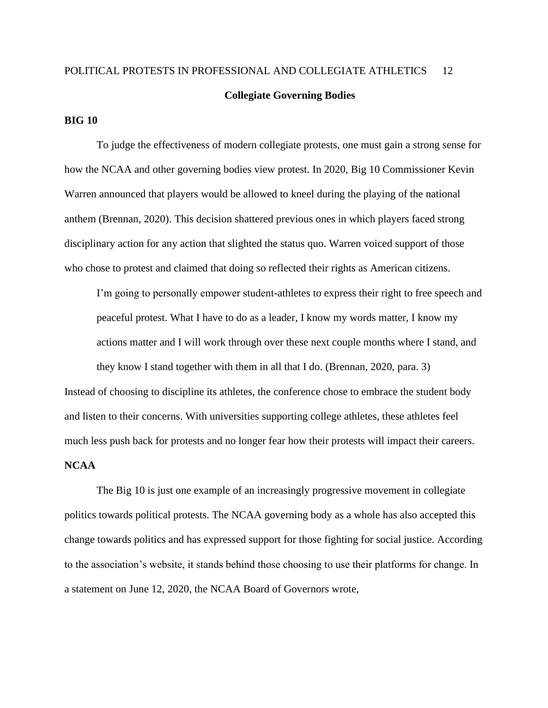# POLITICAL PROTESTS IN PROFESSIONAL AND COLLEGIATE ATHLETICS 12 **Collegiate Governing Bodies**

#### **BIG 10**

To judge the effectiveness of modern collegiate protests, one must gain a strong sense for how the NCAA and other governing bodies view protest. In 2020, Big 10 Commissioner Kevin Warren announced that players would be allowed to kneel during the playing of the national anthem (Brennan, 2020). This decision shattered previous ones in which players faced strong disciplinary action for any action that slighted the status quo. Warren voiced support of those who chose to protest and claimed that doing so reflected their rights as American citizens.

I'm going to personally empower student-athletes to express their right to free speech and peaceful protest. What I have to do as a leader, I know my words matter, I know my actions matter and I will work through over these next couple months where I stand, and they know I stand together with them in all that I do. (Brennan, 2020, para. 3)

Instead of choosing to discipline its athletes, the conference chose to embrace the student body and listen to their concerns. With universities supporting college athletes, these athletes feel much less push back for protests and no longer fear how their protests will impact their careers.

#### **NCAA**

The Big 10 is just one example of an increasingly progressive movement in collegiate politics towards political protests. The NCAA governing body as a whole has also accepted this change towards politics and has expressed support for those fighting for social justice. According to the association's website, it stands behind those choosing to use their platforms for change. In a statement on June 12, 2020, the NCAA Board of Governors wrote,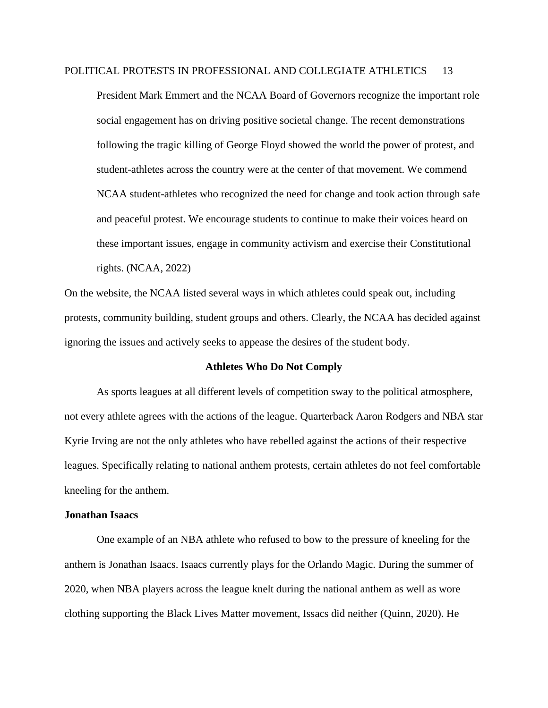President Mark Emmert and the NCAA Board of Governors recognize the important role social engagement has on driving positive societal change. The recent demonstrations following the tragic killing of George Floyd showed the world the power of protest, and student-athletes across the country were at the center of that movement. We commend NCAA student-athletes who recognized the need for change and took action through safe and peaceful protest. We encourage students to continue to make their voices heard on these important issues, engage in community activism and exercise their Constitutional rights. (NCAA, 2022)

On the website, the NCAA listed several ways in which athletes could speak out, including protests, community building, student groups and others. Clearly, the NCAA has decided against ignoring the issues and actively seeks to appease the desires of the student body.

#### **Athletes Who Do Not Comply**

As sports leagues at all different levels of competition sway to the political atmosphere, not every athlete agrees with the actions of the league. Quarterback Aaron Rodgers and NBA star Kyrie Irving are not the only athletes who have rebelled against the actions of their respective leagues. Specifically relating to national anthem protests, certain athletes do not feel comfortable kneeling for the anthem.

#### **Jonathan Isaacs**

One example of an NBA athlete who refused to bow to the pressure of kneeling for the anthem is Jonathan Isaacs. Isaacs currently plays for the Orlando Magic. During the summer of 2020, when NBA players across the league knelt during the national anthem as well as wore clothing supporting the Black Lives Matter movement, Issacs did neither (Quinn, 2020). He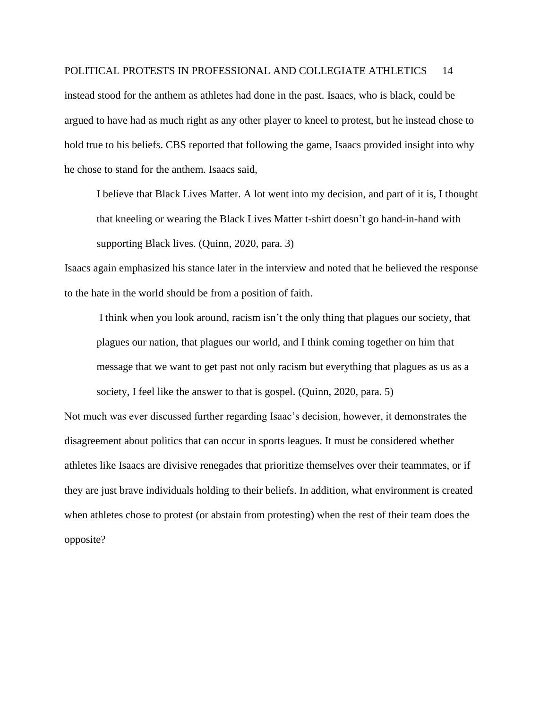instead stood for the anthem as athletes had done in the past. Isaacs, who is black, could be argued to have had as much right as any other player to kneel to protest, but he instead chose to hold true to his beliefs. CBS reported that following the game, Isaacs provided insight into why he chose to stand for the anthem. Isaacs said,

I believe that Black Lives Matter. A lot went into my decision, and part of it is, I thought that kneeling or wearing the Black Lives Matter t-shirt doesn't go hand-in-hand with supporting Black lives. (Quinn, 2020, para. 3)

Isaacs again emphasized his stance later in the interview and noted that he believed the response to the hate in the world should be from a position of faith.

I think when you look around, racism isn't the only thing that plagues our society, that plagues our nation, that plagues our world, and I think coming together on him that message that we want to get past not only racism but everything that plagues as us as a society, I feel like the answer to that is gospel. (Quinn, 2020, para. 5)

Not much was ever discussed further regarding Isaac's decision, however, it demonstrates the disagreement about politics that can occur in sports leagues. It must be considered whether athletes like Isaacs are divisive renegades that prioritize themselves over their teammates, or if they are just brave individuals holding to their beliefs. In addition, what environment is created when athletes chose to protest (or abstain from protesting) when the rest of their team does the opposite?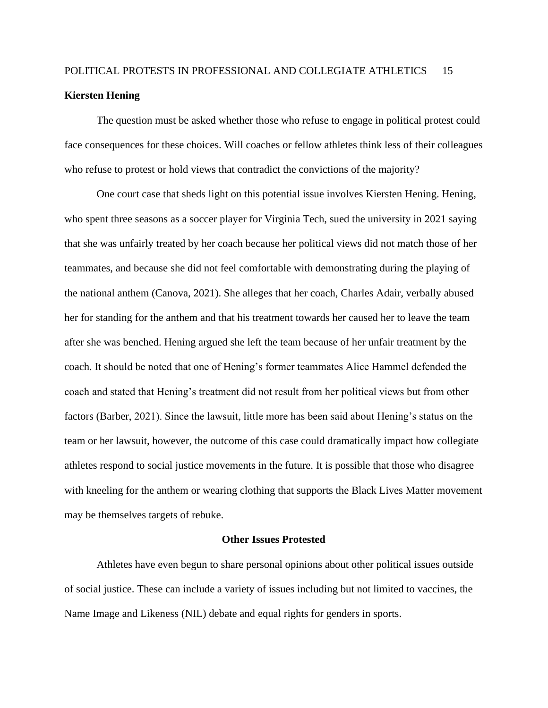### POLITICAL PROTESTS IN PROFESSIONAL AND COLLEGIATE ATHLETICS 15 **Kiersten Hening**

The question must be asked whether those who refuse to engage in political protest could face consequences for these choices. Will coaches or fellow athletes think less of their colleagues who refuse to protest or hold views that contradict the convictions of the majority?

One court case that sheds light on this potential issue involves Kiersten Hening. Hening, who spent three seasons as a soccer player for Virginia Tech, sued the university in 2021 saying that she was unfairly treated by her coach because her political views did not match those of her teammates, and because she did not feel comfortable with demonstrating during the playing of the national anthem (Canova, 2021). She alleges that her coach, Charles Adair, verbally abused her for standing for the anthem and that his treatment towards her caused her to leave the team after she was benched. Hening argued she left the team because of her unfair treatment by the coach. It should be noted that one of Hening's former teammates Alice Hammel defended the coach and stated that Hening's treatment did not result from her political views but from other factors (Barber, 2021). Since the lawsuit, little more has been said about Hening's status on the team or her lawsuit, however, the outcome of this case could dramatically impact how collegiate athletes respond to social justice movements in the future. It is possible that those who disagree with kneeling for the anthem or wearing clothing that supports the Black Lives Matter movement may be themselves targets of rebuke.

#### **Other Issues Protested**

Athletes have even begun to share personal opinions about other political issues outside of social justice. These can include a variety of issues including but not limited to vaccines, the Name Image and Likeness (NIL) debate and equal rights for genders in sports.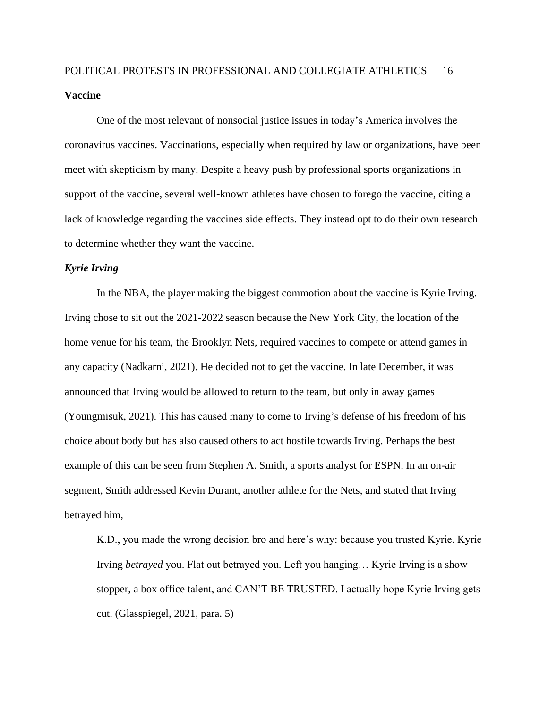One of the most relevant of nonsocial justice issues in today's America involves the coronavirus vaccines. Vaccinations, especially when required by law or organizations, have been meet with skepticism by many. Despite a heavy push by professional sports organizations in support of the vaccine, several well-known athletes have chosen to forego the vaccine, citing a lack of knowledge regarding the vaccines side effects. They instead opt to do their own research to determine whether they want the vaccine.

#### *Kyrie Irving*

In the NBA, the player making the biggest commotion about the vaccine is Kyrie Irving. Irving chose to sit out the 2021-2022 season because the New York City, the location of the home venue for his team, the Brooklyn Nets, required vaccines to compete or attend games in any capacity (Nadkarni, 2021). He decided not to get the vaccine. In late December, it was announced that Irving would be allowed to return to the team, but only in away games (Youngmisuk, 2021). This has caused many to come to Irving's defense of his freedom of his choice about body but has also caused others to act hostile towards Irving. Perhaps the best example of this can be seen from Stephen A. Smith, a sports analyst for ESPN. In an on-air segment, Smith addressed Kevin Durant, another athlete for the Nets, and stated that Irving betrayed him,

K.D., you made the wrong decision bro and here's why: because you trusted Kyrie. Kyrie Irving *betrayed* you. Flat out betrayed you. Left you hanging… Kyrie Irving is a show stopper, a box office talent, and CAN'T BE TRUSTED. I actually hope Kyrie Irving gets cut. (Glasspiegel, 2021, para. 5)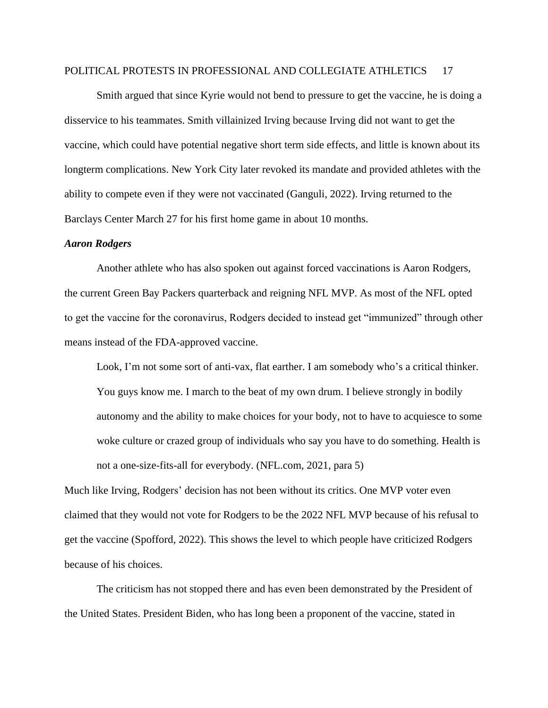Smith argued that since Kyrie would not bend to pressure to get the vaccine, he is doing a disservice to his teammates. Smith villainized Irving because Irving did not want to get the vaccine, which could have potential negative short term side effects, and little is known about its longterm complications. New York City later revoked its mandate and provided athletes with the ability to compete even if they were not vaccinated (Ganguli, 2022). Irving returned to the Barclays Center March 27 for his first home game in about 10 months.

#### *Aaron Rodgers*

Another athlete who has also spoken out against forced vaccinations is Aaron Rodgers, the current Green Bay Packers quarterback and reigning NFL MVP. As most of the NFL opted to get the vaccine for the coronavirus, Rodgers decided to instead get "immunized" through other means instead of the FDA-approved vaccine.

Look, I'm not some sort of anti-vax, flat earther. I am somebody who's a critical thinker. You guys know me. I march to the beat of my own drum. I believe strongly in bodily autonomy and the ability to make choices for your body, not to have to acquiesce to some woke culture or crazed group of individuals who say you have to do something. Health is not a one-size-fits-all for everybody. (NFL.com, 2021, para 5)

Much like Irving, Rodgers' decision has not been without its critics. One MVP voter even claimed that they would not vote for Rodgers to be the 2022 NFL MVP because of his refusal to get the vaccine (Spofford, 2022). This shows the level to which people have criticized Rodgers because of his choices.

The criticism has not stopped there and has even been demonstrated by the President of the United States. President Biden, who has long been a proponent of the vaccine, stated in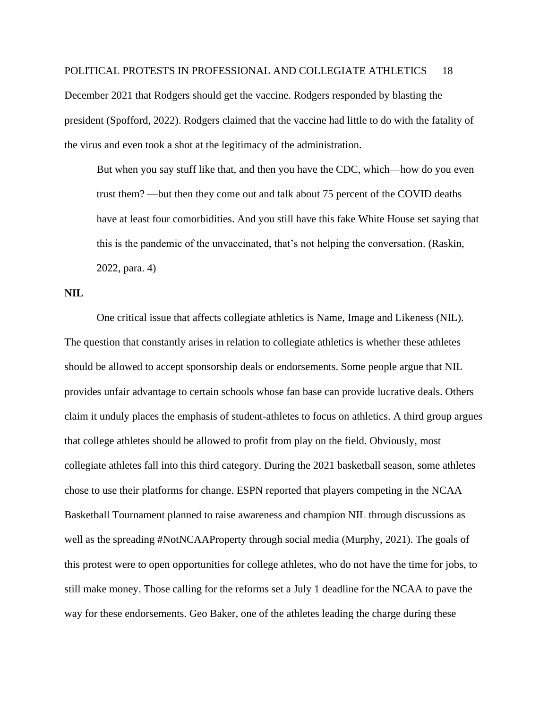December 2021 that Rodgers should get the vaccine. Rodgers responded by blasting the president (Spofford, 2022). Rodgers claimed that the vaccine had little to do with the fatality of the virus and even took a shot at the legitimacy of the administration.

But when you say stuff like that, and then you have the CDC, which—how do you even trust them? —but then they come out and talk about 75 percent of the COVID deaths have at least four comorbidities. And you still have this fake White House set saying that this is the pandemic of the unvaccinated, that's not helping the conversation. (Raskin, 2022, para. 4)

#### **NIL**

One critical issue that affects collegiate athletics is Name, Image and Likeness (NIL). The question that constantly arises in relation to collegiate athletics is whether these athletes should be allowed to accept sponsorship deals or endorsements. Some people argue that NIL provides unfair advantage to certain schools whose fan base can provide lucrative deals. Others claim it unduly places the emphasis of student-athletes to focus on athletics. A third group argues that college athletes should be allowed to profit from play on the field. Obviously, most collegiate athletes fall into this third category. During the 2021 basketball season, some athletes chose to use their platforms for change. ESPN reported that players competing in the NCAA Basketball Tournament planned to raise awareness and champion NIL through discussions as well as the spreading #NotNCAAProperty through social media (Murphy, 2021). The goals of this protest were to open opportunities for college athletes, who do not have the time for jobs, to still make money. Those calling for the reforms set a July 1 deadline for the NCAA to pave the way for these endorsements. Geo Baker, one of the athletes leading the charge during these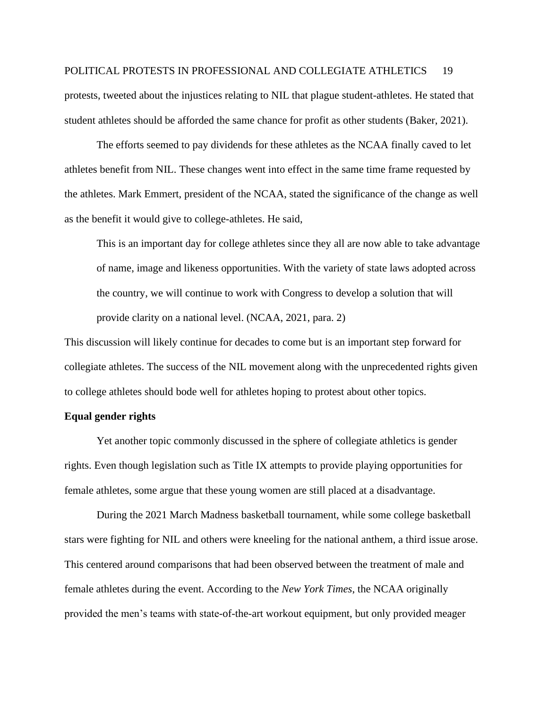protests, tweeted about the injustices relating to NIL that plague student-athletes. He stated that student athletes should be afforded the same chance for profit as other students (Baker, 2021).

The efforts seemed to pay dividends for these athletes as the NCAA finally caved to let athletes benefit from NIL. These changes went into effect in the same time frame requested by the athletes. Mark Emmert, president of the NCAA, stated the significance of the change as well as the benefit it would give to college-athletes. He said,

This is an important day for college athletes since they all are now able to take advantage of name, image and likeness opportunities. With the variety of state laws adopted across the country, we will continue to work with Congress to develop a solution that will provide clarity on a national level. (NCAA, 2021, para. 2)

This discussion will likely continue for decades to come but is an important step forward for collegiate athletes. The success of the NIL movement along with the unprecedented rights given to college athletes should bode well for athletes hoping to protest about other topics.

#### **Equal gender rights**

Yet another topic commonly discussed in the sphere of collegiate athletics is gender rights. Even though legislation such as Title IX attempts to provide playing opportunities for female athletes, some argue that these young women are still placed at a disadvantage.

During the 2021 March Madness basketball tournament, while some college basketball stars were fighting for NIL and others were kneeling for the national anthem, a third issue arose. This centered around comparisons that had been observed between the treatment of male and female athletes during the event. According to the *New York Times*, the NCAA originally provided the men's teams with state-of-the-art workout equipment, but only provided meager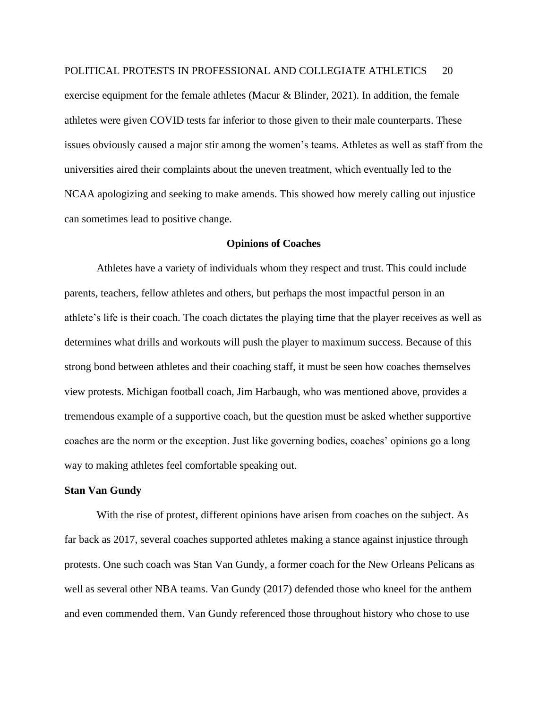exercise equipment for the female athletes (Macur & Blinder, 2021). In addition, the female athletes were given COVID tests far inferior to those given to their male counterparts. These issues obviously caused a major stir among the women's teams. Athletes as well as staff from the universities aired their complaints about the uneven treatment, which eventually led to the NCAA apologizing and seeking to make amends. This showed how merely calling out injustice can sometimes lead to positive change.

#### **Opinions of Coaches**

Athletes have a variety of individuals whom they respect and trust. This could include parents, teachers, fellow athletes and others, but perhaps the most impactful person in an athlete's life is their coach. The coach dictates the playing time that the player receives as well as determines what drills and workouts will push the player to maximum success. Because of this strong bond between athletes and their coaching staff, it must be seen how coaches themselves view protests. Michigan football coach, Jim Harbaugh, who was mentioned above, provides a tremendous example of a supportive coach, but the question must be asked whether supportive coaches are the norm or the exception. Just like governing bodies, coaches' opinions go a long way to making athletes feel comfortable speaking out.

#### **Stan Van Gundy**

With the rise of protest, different opinions have arisen from coaches on the subject. As far back as 2017, several coaches supported athletes making a stance against injustice through protests. One such coach was Stan Van Gundy, a former coach for the New Orleans Pelicans as well as several other NBA teams. Van Gundy (2017) defended those who kneel for the anthem and even commended them. Van Gundy referenced those throughout history who chose to use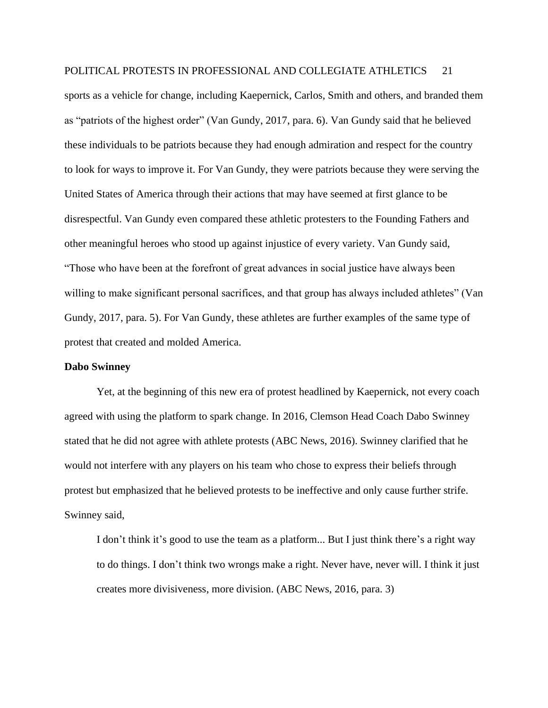sports as a vehicle for change, including Kaepernick, Carlos, Smith and others, and branded them as "patriots of the highest order" (Van Gundy, 2017, para. 6). Van Gundy said that he believed these individuals to be patriots because they had enough admiration and respect for the country to look for ways to improve it. For Van Gundy, they were patriots because they were serving the United States of America through their actions that may have seemed at first glance to be disrespectful. Van Gundy even compared these athletic protesters to the Founding Fathers and other meaningful heroes who stood up against injustice of every variety. Van Gundy said, "Those who have been at the forefront of great advances in social justice have always been willing to make significant personal sacrifices, and that group has always included athletes" (Van Gundy, 2017, para. 5). For Van Gundy, these athletes are further examples of the same type of protest that created and molded America.

#### **Dabo Swinney**

Yet, at the beginning of this new era of protest headlined by Kaepernick, not every coach agreed with using the platform to spark change. In 2016, Clemson Head Coach Dabo Swinney stated that he did not agree with athlete protests (ABC News, 2016). Swinney clarified that he would not interfere with any players on his team who chose to express their beliefs through protest but emphasized that he believed protests to be ineffective and only cause further strife. Swinney said,

I don't think it's good to use the team as a platform... But I just think there's a right way to do things. I don't think two wrongs make a right. Never have, never will. I think it just creates more divisiveness, more division. (ABC News, 2016, para. 3)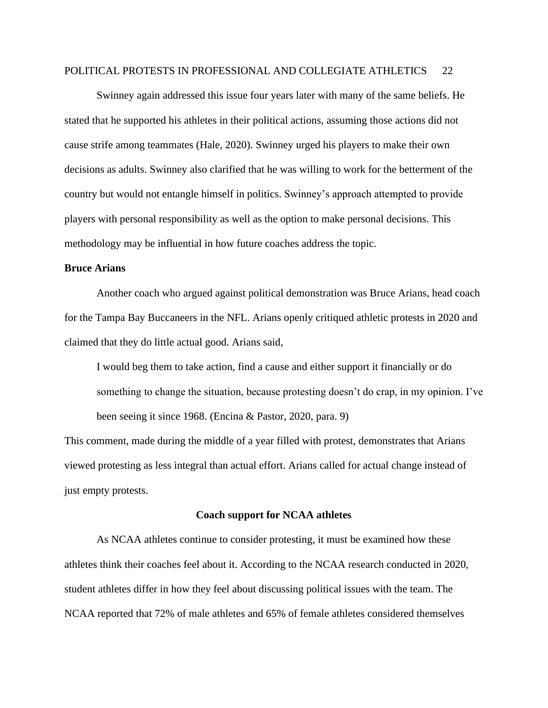Swinney again addressed this issue four years later with many of the same beliefs. He stated that he supported his athletes in their political actions, assuming those actions did not cause strife among teammates (Hale, 2020). Swinney urged his players to make their own decisions as adults. Swinney also clarified that he was willing to work for the betterment of the country but would not entangle himself in politics. Swinney's approach attempted to provide players with personal responsibility as well as the option to make personal decisions. This methodology may be influential in how future coaches address the topic.

#### **Bruce Arians**

Another coach who argued against political demonstration was Bruce Arians, head coach for the Tampa Bay Buccaneers in the NFL. Arians openly critiqued athletic protests in 2020 and claimed that they do little actual good. Arians said,

I would beg them to take action, find a cause and either support it financially or do something to change the situation, because protesting doesn't do crap, in my opinion. I've been seeing it since 1968. (Encina & Pastor, 2020, para. 9)

This comment, made during the middle of a year filled with protest, demonstrates that Arians viewed protesting as less integral than actual effort. Arians called for actual change instead of just empty protests.

#### **Coach support for NCAA athletes**

As NCAA athletes continue to consider protesting, it must be examined how these athletes think their coaches feel about it. According to the NCAA research conducted in 2020, student athletes differ in how they feel about discussing political issues with the team. The NCAA reported that 72% of male athletes and 65% of female athletes considered themselves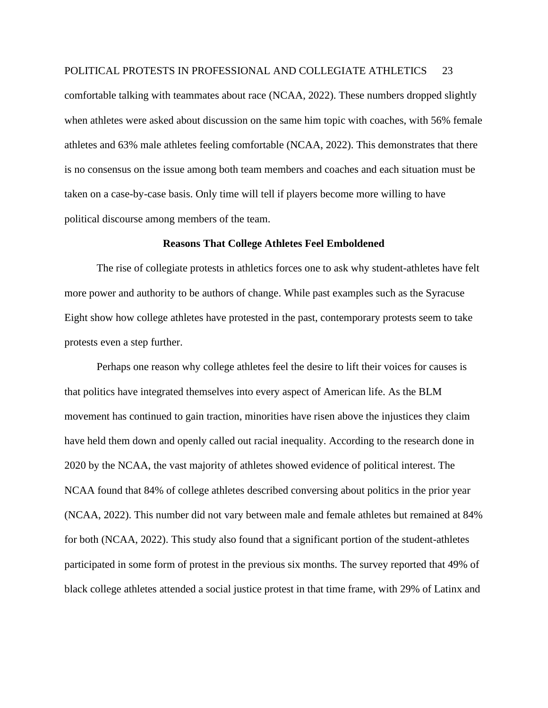comfortable talking with teammates about race (NCAA, 2022). These numbers dropped slightly when athletes were asked about discussion on the same him topic with coaches, with 56% female athletes and 63% male athletes feeling comfortable (NCAA, 2022). This demonstrates that there is no consensus on the issue among both team members and coaches and each situation must be taken on a case-by-case basis. Only time will tell if players become more willing to have political discourse among members of the team.

#### **Reasons That College Athletes Feel Emboldened**

The rise of collegiate protests in athletics forces one to ask why student-athletes have felt more power and authority to be authors of change. While past examples such as the Syracuse Eight show how college athletes have protested in the past, contemporary protests seem to take protests even a step further.

Perhaps one reason why college athletes feel the desire to lift their voices for causes is that politics have integrated themselves into every aspect of American life. As the BLM movement has continued to gain traction, minorities have risen above the injustices they claim have held them down and openly called out racial inequality. According to the research done in 2020 by the NCAA, the vast majority of athletes showed evidence of political interest. The NCAA found that 84% of college athletes described conversing about politics in the prior year (NCAA, 2022). This number did not vary between male and female athletes but remained at 84% for both (NCAA, 2022). This study also found that a significant portion of the student-athletes participated in some form of protest in the previous six months. The survey reported that 49% of black college athletes attended a social justice protest in that time frame, with 29% of Latinx and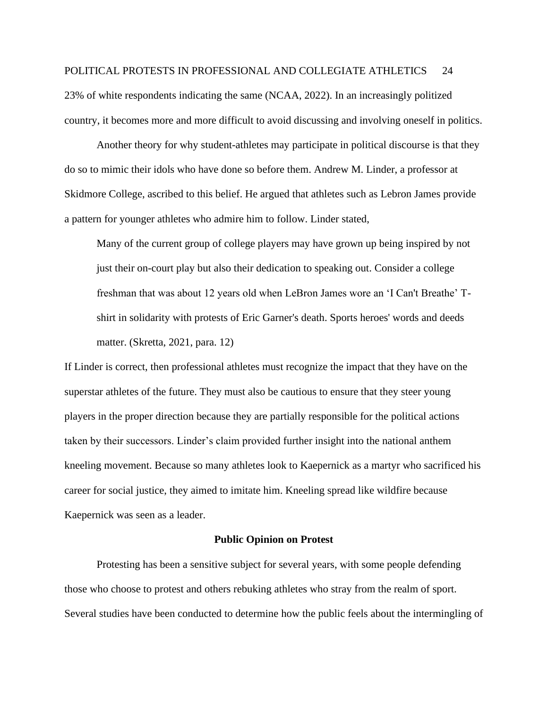23% of white respondents indicating the same (NCAA, 2022). In an increasingly politized country, it becomes more and more difficult to avoid discussing and involving oneself in politics.

Another theory for why student-athletes may participate in political discourse is that they do so to mimic their idols who have done so before them. Andrew M. Linder, a professor at Skidmore College, ascribed to this belief. He argued that athletes such as Lebron James provide a pattern for younger athletes who admire him to follow. Linder stated,

Many of the current group of college players may have grown up being inspired by not just their on-court play but also their dedication to speaking out. Consider a college freshman that was about 12 years old when LeBron James wore an 'I Can't Breathe' Tshirt in solidarity with protests of Eric Garner's death. Sports heroes' words and deeds matter. (Skretta, 2021, para. 12)

If Linder is correct, then professional athletes must recognize the impact that they have on the superstar athletes of the future. They must also be cautious to ensure that they steer young players in the proper direction because they are partially responsible for the political actions taken by their successors. Linder's claim provided further insight into the national anthem kneeling movement. Because so many athletes look to Kaepernick as a martyr who sacrificed his career for social justice, they aimed to imitate him. Kneeling spread like wildfire because Kaepernick was seen as a leader.

#### **Public Opinion on Protest**

Protesting has been a sensitive subject for several years, with some people defending those who choose to protest and others rebuking athletes who stray from the realm of sport. Several studies have been conducted to determine how the public feels about the intermingling of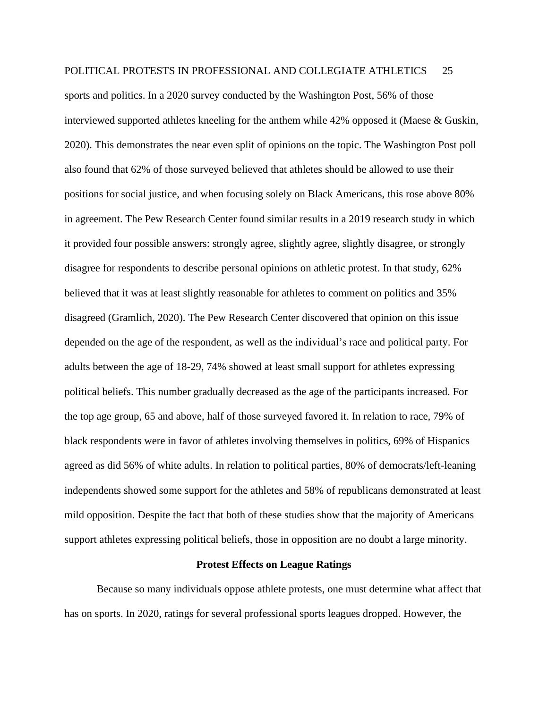sports and politics. In a 2020 survey conducted by the Washington Post, 56% of those interviewed supported athletes kneeling for the anthem while 42% opposed it (Maese & Guskin, 2020). This demonstrates the near even split of opinions on the topic. The Washington Post poll also found that 62% of those surveyed believed that athletes should be allowed to use their positions for social justice, and when focusing solely on Black Americans, this rose above 80% in agreement. The Pew Research Center found similar results in a 2019 research study in which it provided four possible answers: strongly agree, slightly agree, slightly disagree, or strongly disagree for respondents to describe personal opinions on athletic protest. In that study, 62% believed that it was at least slightly reasonable for athletes to comment on politics and 35% disagreed (Gramlich, 2020). The Pew Research Center discovered that opinion on this issue depended on the age of the respondent, as well as the individual's race and political party. For adults between the age of 18-29, 74% showed at least small support for athletes expressing political beliefs. This number gradually decreased as the age of the participants increased. For the top age group, 65 and above, half of those surveyed favored it. In relation to race, 79% of black respondents were in favor of athletes involving themselves in politics, 69% of Hispanics agreed as did 56% of white adults. In relation to political parties, 80% of democrats/left-leaning independents showed some support for the athletes and 58% of republicans demonstrated at least mild opposition. Despite the fact that both of these studies show that the majority of Americans support athletes expressing political beliefs, those in opposition are no doubt a large minority.

#### **Protest Effects on League Ratings**

Because so many individuals oppose athlete protests, one must determine what affect that has on sports. In 2020, ratings for several professional sports leagues dropped. However, the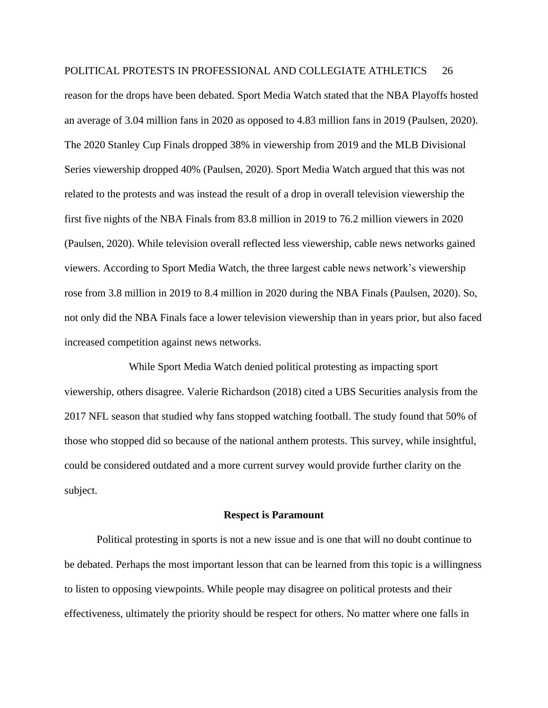reason for the drops have been debated. Sport Media Watch stated that the NBA Playoffs hosted an average of 3.04 million fans in 2020 as opposed to 4.83 million fans in 2019 (Paulsen, 2020). The 2020 Stanley Cup Finals dropped 38% in viewership from 2019 and the MLB Divisional Series viewership dropped 40% (Paulsen, 2020). Sport Media Watch argued that this was not related to the protests and was instead the result of a drop in overall television viewership the first five nights of the NBA Finals from 83.8 million in 2019 to 76.2 million viewers in 2020 (Paulsen, 2020). While television overall reflected less viewership, cable news networks gained viewers. According to Sport Media Watch, the three largest cable news network's viewership rose from 3.8 million in 2019 to 8.4 million in 2020 during the NBA Finals (Paulsen, 2020). So, not only did the NBA Finals face a lower television viewership than in years prior, but also faced increased competition against news networks.

While Sport Media Watch denied political protesting as impacting sport viewership, others disagree. Valerie Richardson (2018) cited a UBS Securities analysis from the 2017 NFL season that studied why fans stopped watching football. The study found that 50% of those who stopped did so because of the national anthem protests. This survey, while insightful, could be considered outdated and a more current survey would provide further clarity on the subject.

#### **Respect is Paramount**

Political protesting in sports is not a new issue and is one that will no doubt continue to be debated. Perhaps the most important lesson that can be learned from this topic is a willingness to listen to opposing viewpoints. While people may disagree on political protests and their effectiveness, ultimately the priority should be respect for others. No matter where one falls in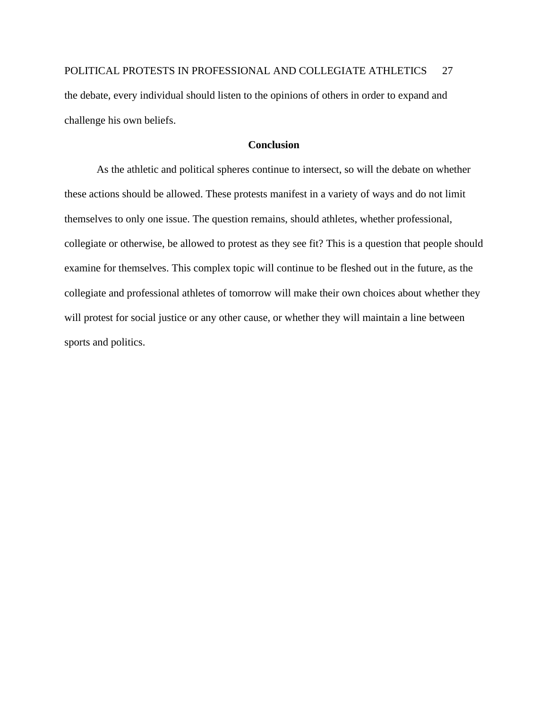POLITICAL PROTESTS IN PROFESSIONAL AND COLLEGIATE ATHLETICS 27 the debate, every individual should listen to the opinions of others in order to expand and challenge his own beliefs.

#### **Conclusion**

As the athletic and political spheres continue to intersect, so will the debate on whether these actions should be allowed. These protests manifest in a variety of ways and do not limit themselves to only one issue. The question remains, should athletes, whether professional, collegiate or otherwise, be allowed to protest as they see fit? This is a question that people should examine for themselves. This complex topic will continue to be fleshed out in the future, as the collegiate and professional athletes of tomorrow will make their own choices about whether they will protest for social justice or any other cause, or whether they will maintain a line between sports and politics.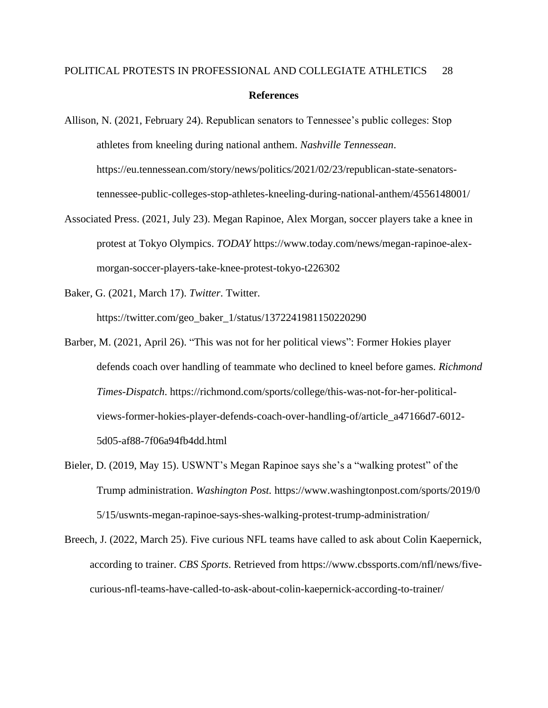- Allison, N. (2021, February 24). Republican senators to Tennessee's public colleges: Stop athletes from kneeling during national anthem. *Nashville Tennessean*. https://eu.tennessean.com/story/news/politics/2021/02/23/republican-state-senatorstennessee-public-colleges-stop-athletes-kneeling-during-national-anthem/4556148001/
- Associated Press. (2021, July 23). Megan Rapinoe, Alex Morgan, soccer players take a knee in protest at Tokyo Olympics. *TODAY* https://www.today.com/news/megan-rapinoe-alexmorgan-soccer-players-take-knee-protest-tokyo-t226302
- Baker, G. (2021, March 17). *Twitter*. Twitter. https://twitter.com/geo\_baker\_1/status/1372241981150220290
- Barber, M. (2021, April 26). "This was not for her political views": Former Hokies player defends coach over handling of teammate who declined to kneel before games. *Richmond Times-Dispatch*. https://richmond.com/sports/college/this-was-not-for-her-politicalviews-former-hokies-player-defends-coach-over-handling-of/article\_a47166d7-6012- 5d05-af88-7f06a94fb4dd.html
- Bieler, D. (2019, May 15). USWNT's Megan Rapinoe says she's a "walking protest" of the Trump administration. *Washington Post.* https://www.washingtonpost.com/sports/2019/0 5/15/uswnts-megan-rapinoe-says-shes-walking-protest-trump-administration/
- Breech, J. (2022, March 25). Five curious NFL teams have called to ask about Colin Kaepernick, according to trainer. *CBS Sports*. Retrieved from https://www.cbssports.com/nfl/news/fivecurious-nfl-teams-have-called-to-ask-about-colin-kaepernick-according-to-trainer/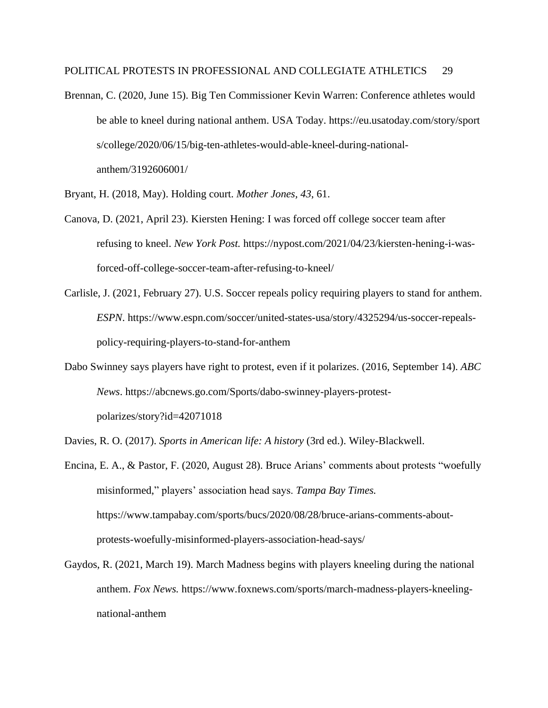Brennan, C. (2020, June 15). Big Ten Commissioner Kevin Warren: Conference athletes would be able to kneel during national anthem. USA Today. https://eu.usatoday.com/story/sport s/college/2020/06/15/big-ten-athletes-would-able-kneel-during-nationalanthem/3192606001/

Bryant, H. (2018, May). Holding court. *Mother Jones, 43*, 61.

- Canova, D. (2021, April 23). Kiersten Hening: I was forced off college soccer team after refusing to kneel. *New York Post.* https://nypost.com/2021/04/23/kiersten-hening-i-wasforced-off-college-soccer-team-after-refusing-to-kneel/
- Carlisle, J. (2021, February 27). U.S. Soccer repeals policy requiring players to stand for anthem. *ESPN*. https://www.espn.com/soccer/united-states-usa/story/4325294/us-soccer-repealspolicy-requiring-players-to-stand-for-anthem
- Dabo Swinney says players have right to protest, even if it polarizes. (2016, September 14). *ABC News*. https://abcnews.go.com/Sports/dabo-swinney-players-protestpolarizes/story?id=42071018

Davies, R. O. (2017). *Sports in American life: A history* (3rd ed.). Wiley-Blackwell.

- Encina, E. A., & Pastor, F. (2020, August 28). Bruce Arians' comments about protests "woefully misinformed," players' association head says. *Tampa Bay Times.* https://www.tampabay.com/sports/bucs/2020/08/28/bruce-arians-comments-aboutprotests-woefully-misinformed-players-association-head-says/
- Gaydos, R. (2021, March 19). March Madness begins with players kneeling during the national anthem. *Fox News.* https://www.foxnews.com/sports/march-madness-players-kneelingnational-anthem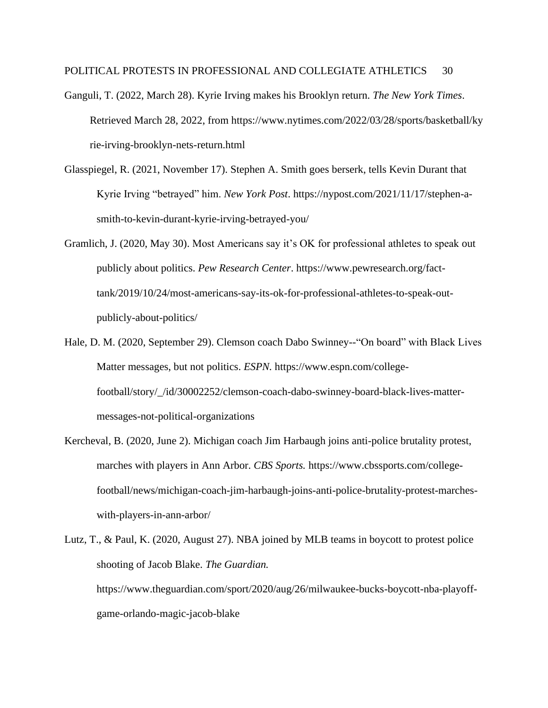- Ganguli, T. (2022, March 28). Kyrie Irving makes his Brooklyn return. *The New York Times*. Retrieved March 28, 2022, from https://www.nytimes.com/2022/03/28/sports/basketball/ky rie-irving-brooklyn-nets-return.html
- Glasspiegel, R. (2021, November 17). Stephen A. Smith goes berserk, tells Kevin Durant that Kyrie Irving "betrayed" him. *New York Post*. https://nypost.com/2021/11/17/stephen-asmith-to-kevin-durant-kyrie-irving-betrayed-you/
- Gramlich, J. (2020, May 30). Most Americans say it's OK for professional athletes to speak out publicly about politics. *Pew Research Center*. https://www.pewresearch.org/facttank/2019/10/24/most-americans-say-its-ok-for-professional-athletes-to-speak-outpublicly-about-politics/
- Hale, D. M. (2020, September 29). Clemson coach Dabo Swinney--"On board" with Black Lives Matter messages, but not politics. *ESPN.* https://www.espn.com/collegefootball/story/\_/id/30002252/clemson-coach-dabo-swinney-board-black-lives-mattermessages-not-political-organizations
- Kercheval, B. (2020, June 2). Michigan coach Jim Harbaugh joins anti-police brutality protest, marches with players in Ann Arbor. *CBS Sports.* https://www.cbssports.com/collegefootball/news/michigan-coach-jim-harbaugh-joins-anti-police-brutality-protest-marcheswith-players-in-ann-arbor/
- Lutz, T., & Paul, K. (2020, August 27). NBA joined by MLB teams in boycott to protest police shooting of Jacob Blake. *The Guardian.* https://www.theguardian.com/sport/2020/aug/26/milwaukee-bucks-boycott-nba-playoffgame-orlando-magic-jacob-blake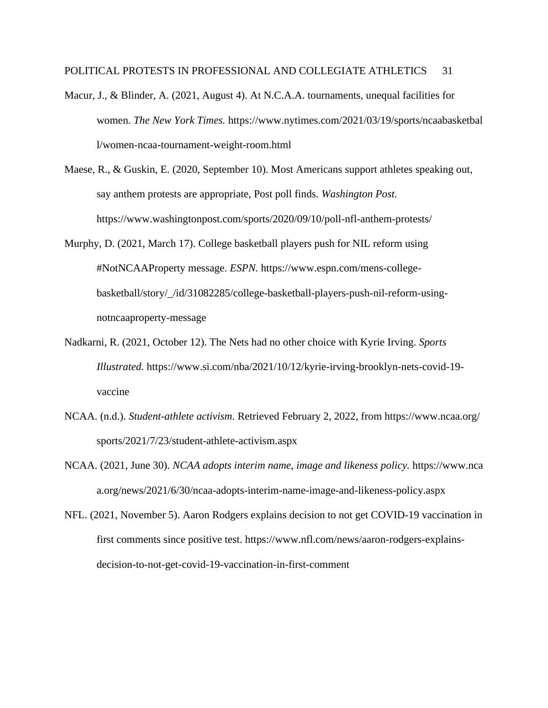- Macur, J., & Blinder, A. (2021, August 4). At N.C.A.A. tournaments, unequal facilities for women. *The New York Times.* https://www.nytimes.com/2021/03/19/sports/ncaabasketbal l/women-ncaa-tournament-weight-room.html
- Maese, R., & Guskin, E. (2020, September 10). Most Americans support athletes speaking out, say anthem protests are appropriate, Post poll finds. *Washington Post.* https://www.washingtonpost.com/sports/2020/09/10/poll-nfl-anthem-protests/
- Murphy, D. (2021, March 17). College basketball players push for NIL reform using #NotNCAAProperty message. *ESPN.* https://www.espn.com/mens-collegebasketball/story/\_/id/31082285/college-basketball-players-push-nil-reform-usingnotncaaproperty-message
- Nadkarni, R. (2021, October 12). The Nets had no other choice with Kyrie Irving. *Sports Illustrated.* https://www.si.com/nba/2021/10/12/kyrie-irving-brooklyn-nets-covid-19 vaccine
- NCAA. (n.d.). *Student-athlete activism*. Retrieved February 2, 2022, from https://www.ncaa.org/ sports/2021/7/23/student-athlete-activism.aspx
- NCAA. (2021, June 30). *NCAA adopts interim name, image and likeness policy.* https://www.nca a.org/news/2021/6/30/ncaa-adopts-interim-name-image-and-likeness-policy.aspx
- NFL. (2021, November 5). Aaron Rodgers explains decision to not get COVID-19 vaccination in first comments since positive test. https://www.nfl.com/news/aaron-rodgers-explainsdecision-to-not-get-covid-19-vaccination-in-first-comment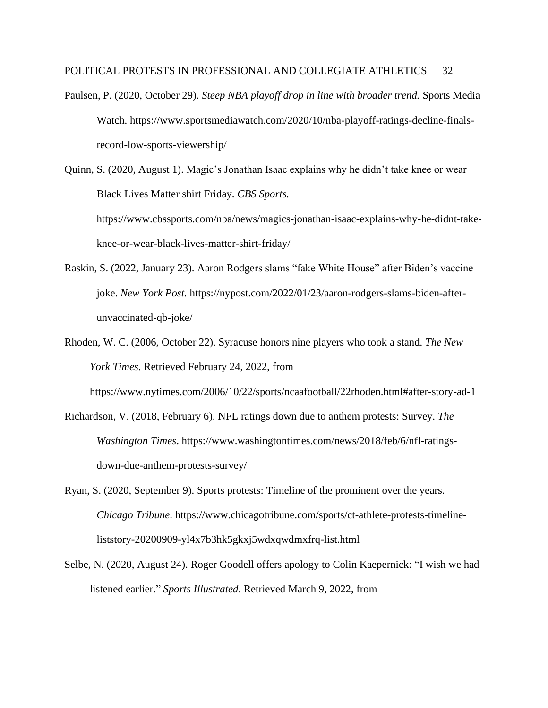- Paulsen, P. (2020, October 29). *Steep NBA playoff drop in line with broader trend.* Sports Media Watch. https://www.sportsmediawatch.com/2020/10/nba-playoff-ratings-decline-finalsrecord-low-sports-viewership/
- Quinn, S. (2020, August 1). Magic's Jonathan Isaac explains why he didn't take knee or wear Black Lives Matter shirt Friday. *CBS Sports.* https://www.cbssports.com/nba/news/magics-jonathan-isaac-explains-why-he-didnt-take-

knee-or-wear-black-lives-matter-shirt-friday/

- Raskin, S. (2022, January 23). Aaron Rodgers slams "fake White House" after Biden's vaccine joke. *New York Post.* https://nypost.com/2022/01/23/aaron-rodgers-slams-biden-afterunvaccinated-qb-joke/
- Rhoden, W. C. (2006, October 22). Syracuse honors nine players who took a stand. *The New York Times*. Retrieved February 24, 2022, from

https://www.nytimes.com/2006/10/22/sports/ncaafootball/22rhoden.html#after-story-ad-1

- Richardson, V. (2018, February 6). NFL ratings down due to anthem protests: Survey. *The Washington Times*. https://www.washingtontimes.com/news/2018/feb/6/nfl-ratingsdown-due-anthem-protests-survey/
- Ryan, S. (2020, September 9). Sports protests: Timeline of the prominent over the years. *Chicago Tribune*. https://www.chicagotribune.com/sports/ct-athlete-protests-timelineliststory-20200909-yl4x7b3hk5gkxj5wdxqwdmxfrq-list.html
- Selbe, N. (2020, August 24). Roger Goodell offers apology to Colin Kaepernick: "I wish we had listened earlier." *Sports Illustrated*. Retrieved March 9, 2022, from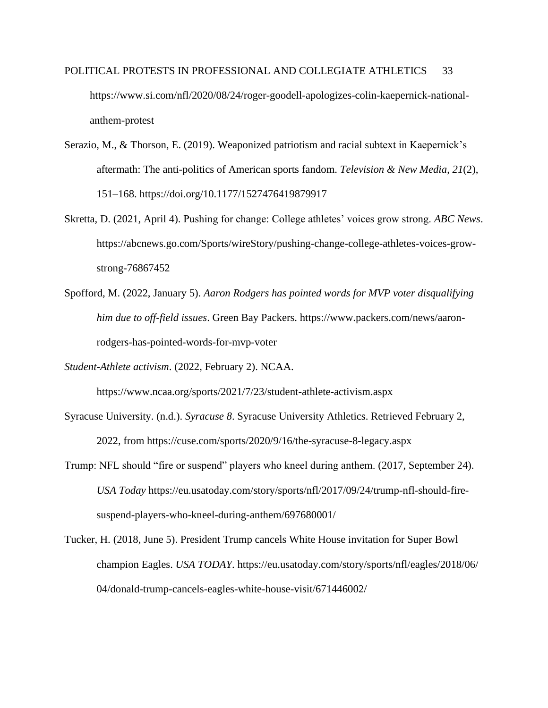- POLITICAL PROTESTS IN PROFESSIONAL AND COLLEGIATE ATHLETICS 33 https://www.si.com/nfl/2020/08/24/roger-goodell-apologizes-colin-kaepernick-nationalanthem-protest
- Serazio, M., & Thorson, E. (2019). Weaponized patriotism and racial subtext in Kaepernick's aftermath: The anti-politics of American sports fandom. *Television & New Media*, *21*(2), 151–168. https://doi.org/10.1177/1527476419879917
- Skretta, D. (2021, April 4). Pushing for change: College athletes' voices grow strong. *ABC News*. https://abcnews.go.com/Sports/wireStory/pushing-change-college-athletes-voices-growstrong-76867452
- Spofford, M. (2022, January 5). *Aaron Rodgers has pointed words for MVP voter disqualifying him due to off-field issues*. Green Bay Packers. https://www.packers.com/news/aaronrodgers-has-pointed-words-for-mvp-voter
- *Student-Athlete activism*. (2022, February 2). NCAA.

https://www.ncaa.org/sports/2021/7/23/student-athlete-activism.aspx

- Syracuse University. (n.d.). *Syracuse 8*. Syracuse University Athletics. Retrieved February 2, 2022, from https://cuse.com/sports/2020/9/16/the-syracuse-8-legacy.aspx
- Trump: NFL should "fire or suspend" players who kneel during anthem. (2017, September 24). *USA Today* https://eu.usatoday.com/story/sports/nfl/2017/09/24/trump-nfl-should-firesuspend-players-who-kneel-during-anthem/697680001/
- Tucker, H. (2018, June 5). President Trump cancels White House invitation for Super Bowl champion Eagles. *USA TODAY*. https://eu.usatoday.com/story/sports/nfl/eagles/2018/06/ 04/donald-trump-cancels-eagles-white-house-visit/671446002/